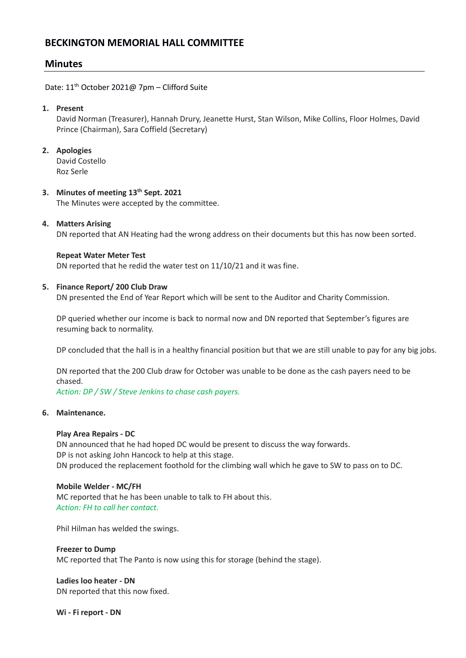# **BECKINGTON MEMORIAL HALL COMMITTEE**

# **Minutes**

Date: 11<sup>th</sup> October 2021@ 7pm - Clifford Suite

## **1. Present**

David Norman (Treasurer), Hannah Drury, Jeanette Hurst, Stan Wilson, Mike Collins, Floor Holmes, David Prince (Chairman), Sara Coffield (Secretary)

## **2. Apologies**

David Costello Roz Serle

## **3. Minutes of meeting 13th Sept. 2021**

The Minutes were accepted by the committee.

## **4. Matters Arising**

DN reported that AN Heating had the wrong address on their documents but this has now been sorted.

#### **Repeat Water Meter Test**

DN reported that he redid the water test on 11/10/21 and it was fine.

#### **5. Finance Report/ 200 Club Draw**

DN presented the End of Year Report which will be sent to the Auditor and Charity Commission.

DP queried whether our income is back to normal now and DN reported that September's figures are resuming back to normality.

DP concluded that the hall is in a healthy financial position but that we are still unable to pay for any big jobs.

DN reported that the 200 Club draw for October was unable to be done as the cash payers need to be chased.

*Action: DP / SW / Steve Jenkins to chase cash payers.*

#### **6. Maintenance.**

#### **Play Area Repairs - DC**

DN announced that he had hoped DC would be present to discuss the way forwards. DP is not asking John Hancock to help at this stage. DN produced the replacement foothold for the climbing wall which he gave to SW to pass on to DC.

#### **Mobile Welder - MC/FH**

MC reported that he has been unable to talk to FH about this. *Action: FH to call her contact.* 

Phil Hilman has welded the swings.

# **Freezer to Dump**

MC reported that The Panto is now using this for storage (behind the stage).

**Ladies loo heater - DN** DN reported that this now fixed.

**Wi - Fi report - DN**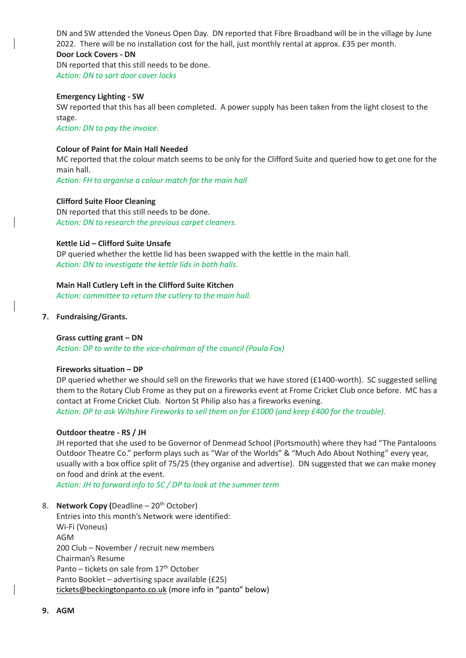DN and SW attended the Voneus Open Day. DN reported that Fibre Broadband will be in the village by June 2022. There will be no installation cost for the hall, just monthly rental at approx. £35 per month. **Door Lock Covers - DN**

DN reported that this still needs to be done. *Action: DN to sort door cover locks* 

#### **Emergency Lighting - SW**

SW reported that this has all been completed. A power supply has been taken from the light closest to the stage.

*Action: DN to pay the invoice.*

## **Colour of Paint for Main Hall Needed**

MC reported that the colour match seems to be only for the Clifford Suite and queried how to get one for the main hall.

*Action: FH to organise a colour match for the main hall*

## **Clifford Suite Floor Cleaning**

DN reported that this still needs to be done. *Action: DN to research the previous carpet cleaners.*

## **Kettle Lid – Clifford Suite Unsafe**

DP queried whether the kettle lid has been swapped with the kettle in the main hall. *Action: DN to investigate the kettle lids in both halls.*

## **Main Hall Cutlery Left in the Clifford Suite Kitchen**

*Action: committee to return the cutlery to the main hall.*

## **7. Fundraising/Grants.**

#### **Grass cutting grant – DN**

*Action: DP to write to the vice-chairman of the council (Paula Fox)*

#### **Fireworks situation – DP**

DP queried whether we should sell on the fireworks that we have stored (£1400-worth). SC suggested selling them to the Rotary Club Frome as they put on a fireworks event at Frome Cricket Club once before. MC has a contact at Frome Cricket Club. Norton St Philip also has a fireworks evening. *Action: DP to ask Wiltshire Fireworks to sell them on for £1000 (and keep £400 for the trouble).*

#### **Outdoor theatre - RS / JH**

JH reported that she used to be Governor of Denmead School (Portsmouth) where they had "The Pantaloons Outdoor Theatre Co." perform plays such as "War of the Worlds" & "Much Ado About Nothing" every year, usually with a box office split of 75/25 (they organise and advertise). DN suggested that we can make money on food and drink at the event.

*Action: JH to forward info to SC / DP to look at the summer term*

8. **Network Copy (Deadline – 20<sup>th</sup> October)** 

Entries into this month's Network were identified: Wi-Fi (Voneus) AGM 200 Club – November / recruit new members Chairman's Resume Panto – tickets on sale from 17<sup>th</sup> October Panto Booklet – advertising space available (£25) [tickets@beckingtonpanto.co.uk](mailto:tickets@beckingtonpanto.co.uk) (more info in "panto" below)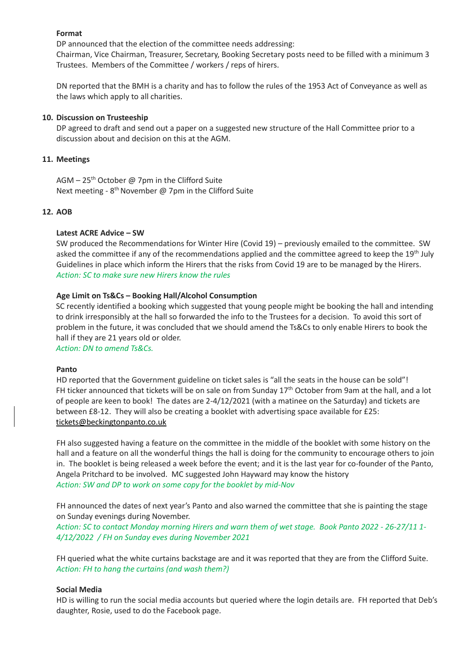#### **Format**

DP announced that the election of the committee needs addressing:

Chairman, Vice Chairman, Treasurer, Secretary, Booking Secretary posts need to be filled with a minimum 3 Trustees. Members of the Committee / workers / reps of hirers.

DN reported that the BMH is a charity and has to follow the rules of the 1953 Act of Conveyance as well as the laws which apply to all charities.

### **10. Discussion on Trusteeship**

DP agreed to draft and send out a paper on a suggested new structure of the Hall Committee prior to a discussion about and decision on this at the AGM.

## **11. Meetings**

AGM –  $25<sup>th</sup>$  October @ 7pm in the Clifford Suite Next meeting - 8<sup>th</sup> November @ 7pm in the Clifford Suite

## **12. AOB**

## **Latest ACRE Advice – SW**

SW produced the Recommendations for Winter Hire (Covid 19) – previously emailed to the committee. SW asked the committee if any of the recommendations applied and the committee agreed to keep the 19<sup>th</sup> July Guidelines in place which inform the Hirers that the risks from Covid 19 are to be managed by the Hirers. *Action: SC to make sure new Hirers know the rules* 

## **Age Limit on Ts&Cs – Booking Hall/Alcohol Consumption**

SC recently identified a booking which suggested that young people might be booking the hall and intending to drink irresponsibly at the hall so forwarded the info to the Trustees for a decision. To avoid this sort of problem in the future, it was concluded that we should amend the Ts&Cs to only enable Hirers to book the hall if they are 21 years old or older.

*Action: DN to amend Ts&Cs.*

#### **Panto**

HD reported that the Government guideline on ticket sales is "all the seats in the house can be sold"! FH ticker announced that tickets will be on sale on from Sunday 17<sup>th</sup> October from 9am at the hall, and a lot of people are keen to book! The dates are 2-4/12/2021 (with a matinee on the Saturday) and tickets are between £8-12. They will also be creating a booklet with advertising space available for £25: [tickets@beckingtonpanto.co.uk](mailto:tickets@beckingtonpanto.co.uk)

FH also suggested having a feature on the committee in the middle of the booklet with some history on the hall and a feature on all the wonderful things the hall is doing for the community to encourage others to join in. The booklet is being released a week before the event; and it is the last year for co-founder of the Panto, Angela Pritchard to be involved. MC suggested John Hayward may know the history *Action: SW and DP to work on some copy for the booklet by mid-Nov*

FH announced the dates of next year's Panto and also warned the committee that she is painting the stage on Sunday evenings during November.

*Action: SC to contact Monday morning Hirers and warn them of wet stage. Book Panto 2022 - 26-27/11 1- 4/12/2022 / FH on Sunday eves during November 2021* 

FH queried what the white curtains backstage are and it was reported that they are from the Clifford Suite. *Action: FH to hang the curtains (and wash them?)*

#### **Social Media**

HD is willing to run the social media accounts but queried where the login details are. FH reported that Deb's daughter, Rosie, used to do the Facebook page.